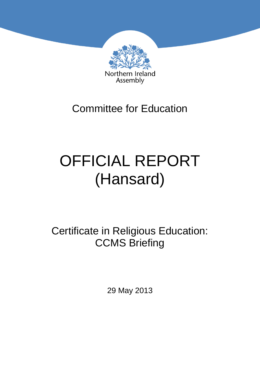

## Committee for Education

# OFFICIAL REPORT (Hansard)

Certificate in Religious Education: CCMS Briefing

29 May 2013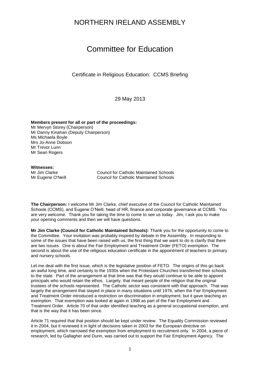### NORTHERN IRELAND ASSEMBLY

## Committee for Education

Certificate in Religious Education: CCMS Briefing

29 May 2013

**Members present for all or part of the proceedings:** Mr Mervyn Storey (Chairperson) Mr Danny Kinahan (Deputy Chairperson) Ms Michaela Boyle Mrs Jo-Anne Dobson Mr Trevor Lunn Mr Sean Rogers

**Witnesses:**

Mr Jim Clarke Council for Catholic Maintained Schools Mr Eugene O'Neill Council for Catholic Maintained Schools

**The Chairperson:** I welcome Mr Jim Clarke, chief executive of the Council for Catholic Maintained Schools (CCMS), and Eugene O'Neill, head of HR, finance and corporate governance at CCMS. You are very welcome. Thank you for taking the time to come to see us today. Jim, I ask you to make your opening comments and then we will have questions.

**Mr Jim Clarke (Council for Catholic Maintained Schools):** Thank you for the opportunity to come to the Committee. Your invitation was probably inspired by debate in the Assembly. In responding to some of the issues that have been raised with us, the first thing that we want to do is clarify that there are two issues. One is about the Fair Employment and Treatment Order (FETO) exemption. The second is about the use of the religious education certificate in the appointment of teachers to primary and nursery schools.

Let me deal with the first issue, which is the legislative position of FETO. The origins of this go back an awful long time, and certainly to the 1930s when the Protestant Churches transferred their schools to the state. Part of the arrangement at that time was that they would continue to be able to appoint principals who would retain the ethos. Largely, that meant people of the religion that the original trustees of the schools represented. The Catholic sector was consistent with that approach. That was largely the arrangement that stayed in place in many situations until 1976, when the Fair Employment and Treatment Order introduced a restriction on discrimination in employment, but it gave teaching an exemption. That exemption was looked at again in 1998 as part of the Fair Employment and Treatment Order. Article 70 of that order identified teaching as a general occupational exemption, and that is the way that it has been since.

Article 71 required that that position should be kept under review. The Equality Commission reviewed it in 2004, but it reviewed it in light of decisions taken in 2003 for the European directive on employment, which narrowed the exemption from employment to recruitment only. In 2004, a piece of research, led by Gallagher and Dunn, was carried out to support the Fair Employment Agency. The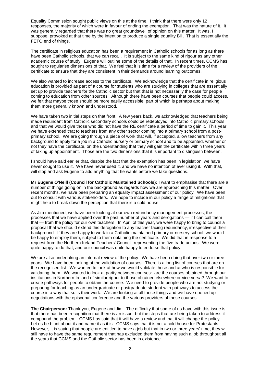Equality Commission sought public views on this at the time. I think that there were only 12 responses, the majority of which were in favour of ending the exemption. That was the nature of it. It was generally regarded that there was no great groundswell of opinion on this matter. It was, I suppose, provoked at that time by the intention to produce a single equality Bill. That is essentially the FETO end of things.

The certificate in religious education has been a requirement in Catholic schools for as long as there have been Catholic schools, that we can recall. It is subject to the same kind of rigour as any other academic course of study. Eugene will outline some of the details of that. In recent times, CCMS has sought to regularise dimensions of that. We feel that it is time for a review of the providers of the certificate to ensure that they are consistent in their demands around learning outcomes.

We also wanted to increase access to the certificate. We acknowledge that the certificate in religious education is provided as part of a course for students who are studying in colleges that are essentially set up to provide teachers for the Catholic sector but that that is not necessarily the case for people coming to education from other sources. Although there have been courses that people could access, we felt that maybe those should be more easily accessible, part of which is perhaps about making them more generally known and understood.

We have taken two initial steps on that front. A few years back, we acknowledged that teachers being made redundant from Catholic secondary schools could be redeployed into Catholic primary schools and that we would give those who did not have the RE certificate a period of time to gain it. This year, we have extended that to teachers from any other sector coming into a primary school from a postprimary school. We are going through a piece of work that will, if accepted, allow teachers from any background to apply for a job in a Catholic nursery or primary school and to be appointed, whether or not they have the certificate, on the understanding that they will gain the certificate within three years of taking up appointment. Those are the two dimensions that it is important to distinguish between.

I should have said earlier that, despite the fact that the exemption has been in legislation, we have never sought to use it. We have never used it, and we have no intention of ever using it. With that, I will stop and ask Eugene to add anything that he wants before we take questions.

**Mr Eugene O'Neill (Council for Catholic Maintained Schools):** I want to emphasise that there are a number of things going on in the background as regards how we are approaching this matter. Over recent months, we have been preparing an equality impact assessment of our policy. We have been out to consult with various stakeholders. We hope to include in our policy a range of mitigations that might help to break down the perception that there is a cold house.

As Jim mentioned, we have been looking at our own redundancy management processes, the processes that we have applied over the past number of years and derogations — if I can call them that — from the policy for our own teachers. In April of this year, we were happy to bring to council a proposal that we should extend this derogation to any teacher facing redundancy, irrespective of their background. If they are happy to work in a Catholic maintained primary or nursery school, we would be happy to employ them, subject to them obtaining the certificate. We did that in response to a request from the Northern Ireland Teachers' Council, representing the five trade unions. We were quite happy to do that, and our council was quite happy to endorse that policy.

We are also undertaking an internal review of the policy. We have been doing that over two or three years. We have been looking at the validation of courses. There is a long list of courses that are on the recognised list. We wanted to look at how we would validate those and at who is responsible for validating them. We wanted to look at parity between courses: are the courses obtained through our institutions in Northern Ireland of similar rigour to those obtained elsewhere or vice versa? We want to create pathways for people to obtain the course. We need to provide people who are not studying or preparing for teaching as an undergraduate or postgraduate student with pathways to access the course in a way that suits their work. We are looking at all those things and we have opened up negotiations with the episcopal conference and the various providers of those courses.

**The Chairperson:** Thank you, Eugene and Jim. The difficulty that some of us have with this issue is that there has been recognition that there is an issue, but the steps that are being taken to address it compound the problem. CCMS has said that it will have a review and that it will change the policy. Let us be blunt about it and name it as it is. CCMS says that it is not a cold house for Protestants. However, it is saying that people are entitled to have a job but that in two or three years' time, they will still have to have the same requirement that has excluded them from having such a job throughout all the years that CCMS and the Catholic sector has been in existence.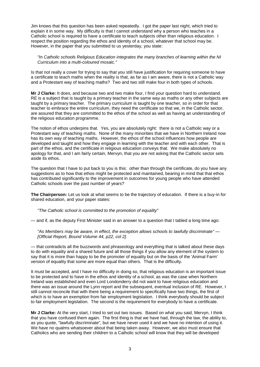Jim knows that this question has been asked repeatedly. I got the paper last night, which tried to explain it in some way. My difficulty is that I cannot understand why a person who teaches in a Catholic school is required to have a certificate to teach subjects other than religious education. I respect the position regarding the ethos and identity of a school, whatever that school may be. However, in the paper that you submitted to us yesterday, you state:

*"In Catholic schools Religious Education integrates the many branches of learning within the NI Curriculum into a multi-coloured mosaic."*

Is that not really a cover for trying to say that you still have justification for requiring someone to have a certificate to teach maths when the reality is that, as far as I am aware, there is not a Catholic way and a Protestant way of teaching maths? Two and two still make four in both types of schools.

**Mr J Clarke:** It does, and because two and two make four, I find your question hard to understand. RE is a subject that is taught by a primary teacher in the same way as maths or any other subjects are taught by a primary teacher. The primary curriculum is taught by one teacher, so in order for that teacher to embrace the entire curriculum, they need the certificate so that we, in the Catholic sector, are assured that they are committed to the ethos of the school as well as having an understanding of the religious education programme.

The notion of ethos underpins that. Yes, you are absolutely right: there is not a Catholic way or a Protestant way of teaching maths. None of the many minorities that we have in Northern Ireland now has its own way of teaching maths. However, the ethos of the school influences how people are developed and taught and how they engage in learning with the teacher and with each other. That is part of the ethos, and the certificate in religious education conveys that. We make absolutely no apology for that, and I am fairly certain, Mervyn, that you are not asking that the Catholic sector sets aside its ethos.

The question that I have to put back to you is this: other than through the certificate, do you have any suggestions as to how that ethos might be protected and maintained, bearing in mind that that ethos has contributed significantly to the improvement in outcomes for young people who have attended Catholic schools over the past number of years?

**The Chairperson:** Let us look at what seems to be the trajectory of education. If there is a buy-in for shared education, and your paper states:

*"The Catholic school is committed to the promotion of equality"*

— and if, as the deputy First Minister said in an answer to a question that I tabled a long time ago:

*"As Members may be aware, in effect, the exception allows schools to lawfully discriminate" — [Official Report, Bound Volume 44, p22, col 2].*

— that contradicts all the buzzwords and phraseology and everything that is talked about these days to do with equality and a shared future and all those things if you allow any element of the system to say that it is more than happy to be the promoter of equality but on the basis of the 'Animal Farm' version of equality that some are more equal than others. That is the difficulty.

It must be accepted, and I have no difficulty in doing so, that religious education is an important issue to be protected and to have in the ethos and identity of a school, as was the case when Northern Ireland was established and even Lord Londonderry did not want to have religious education and there was an issue around the Lynn report and the subsequent, eventual inclusion of RE. However, I still cannot reconcile that with there being a requirement to specifically have two things, the first of which is to have an exemption from fair employment legislation. I think everybody should be subject to fair employment legislation. The second is the requirement for everybody to have a certificate.

**Mr J Clarke:** At the very start, I tried to set out two issues. Based on what you said, Mervyn, I think that you have confused them again. The first thing is that we have had, through the law, the ability to, as you quote, "lawfully discriminate", but we have never used it and we have no intention of using it. We have no qualms whatsoever about that being taken away. However, we also must ensure that Catholics who are sending their children to a Catholic school will know that they will be developed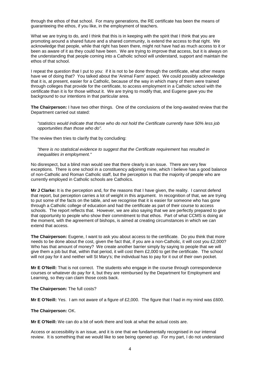through the ethos of that school. For many generations, the RE certificate has been the means of guaranteeing the ethos, if you like, in the employment of teachers.

What we are trying to do, and I think that this is in keeping with the spirit that I think that you are promoting around a shared future and a shared community, is extend the access to that right. We acknowledge that people, while that right has been there, might not have had as much access to it or been as aware of it as they could have been. We are trying to improve that access, but it is always on the understanding that people coming into a Catholic school will understand, support and maintain the ethos of that school.

I repeat the question that I put to you: if it is not to be done through the certificate, what other means have we of doing that? You talked about the 'Animal Farm' aspect. We could possibly acknowledge that it is, at present, easier for a Catholic, because of the way in which many of them were trained through colleges that provide for the certificate, to access employment in a Catholic school with the certificate than it is for those without it. We are trying to modify that, and Eugene gave you the background to our intentions in that particular area.

**The Chairperson:** I have two other things. One of the conclusions of the long-awaited review that the Department carried out stated:

*"statistics would indicate that those who do not hold the Certificate currently have 50% less job opportunities than those who do".*

The review then tries to clarify that by concluding:

*"there is no statistical evidence to suggest that the Certificate requirement has resulted in inequalities in employment."*

No disrespect, but a blind man would see that there clearly is an issue. There are very few exceptions. There is one school in a constituency adjoining mine, which I believe has a good balance of non-Catholic and Roman Catholic staff, but the perception is that the majority of people who are currently employed in Catholic schools are Catholics.

**Mr J Clarke:** It is the perception and, for the reasons that I have given, the reality. I cannot defend that report, but perception carries a lot of weight in this argument. In recognition of that, we are trying to put some of the facts on the table, and we recognise that it is easier for someone who has gone through a Catholic college of education and had the certificate as part of their course to access schools. The report reflects that. However, we are also saying that we are perfectly prepared to give that opportunity to people who show their commitment to that ethos. Part of what CCMS is doing at the moment, with the agreement of bishops, is aimed at creating circumstances in which we can extend that access.

**The Chairperson:** Eugene, I want to ask you about access to the certificate. Do you think that more needs to be done about the cost, given the fact that, if you are a non-Catholic, it will cost you £2,000? Who has that amount of money? We create another barrier simply by saying to people that we will give them a job but that, within that period, it will cost them £2,000 to get the certificate. The school will not pay for it and neither will St Mary's; the individual has to pay for it out of their own pocket.

**Mr E O'Neill:** That is not correct. The students who engage in the course through correspondence courses or whatever do pay for it, but they are reimbursed by the Department for Employment and Learning, so they can claim those costs back.

#### **The Chairperson:** The full costs?

**Mr E O'Neill:** Yes. I am not aware of a figure of £2,000. The figure that I had in my mind was £600.

#### **The Chairperson:** OK.

**Mr E O'Neill:** We can do a bit of work there and look at what the actual costs are.

Access or accessibility is an issue, and it is one that we fundamentally recognised in our internal review. It is something that we would like to see being opened up. For my part, I do not understand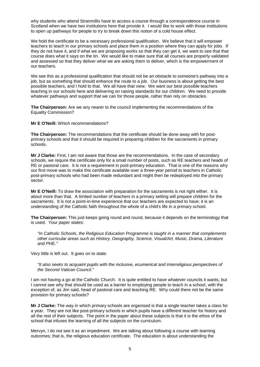why students who attend Stranmillis have to access a course through a correspondence course in Scotland when we have two institutions here that provide it. I would like to work with those institutions to open up pathways for people to try to break down this notion of a cold house effect.

We hold the certificate to be a necessary professional qualification. We believe that it will empower teachers to teach in our primary schools and place them in a position where they can apply for jobs. If they do not have it, and if what we are proposing works so that they can get it, we want to see that that course does what it says on the tin. We would like to make sure that all courses are properly validated and assessed so that they deliver what we are asking them to deliver, which is the empowerment of our teachers.

We see this as a professional qualification that should not be an obstacle to someone's pathway into a job, but as something that should enhance the route to a job. Our business is about getting the best possible teachers, and I hold to that. We all have that view. We want our best possible teachers teaching in our schools here and delivering on raising standards for our children. We need to provide whatever pathways and support that we can for those people, rather than rely on obstacles.

**The Chairperson:** Are we any nearer to the council implementing the recommendations of the Equality Commission?

**Mr E O'Neill:** Which recommendations?

**The Chairperson:** The recommendations that the certificate should be done away with for postprimary schools and that it should be required in preparing children for the sacraments in primary schools.

**Mr J Clarke:** First, I am not aware that those are the recommendations. In the case of secondary schools, we require the certificate only for a small number of posts, such as RE teachers and heads of RE or pastoral care. It is not a requirement in post-primary education. That is one of the reasons why our first move was to make this certificate available over a three-year period to teachers in Catholic post-primary schools who had been made redundant and might then be redeployed into the primary sector.

**Mr E O'Neill:** To draw the association with preparation for the sacraments is not right either. It is about more than that. A limited number of teachers in a primary setting will prepare children for the sacraments. It is not a point-in-time experience that our teachers are expected to have; it is an understanding of the Catholic faith throughout the whole of a child's life in a primary school.

**The Chairperson:** This just keeps going round and round, because it depends on the terminology that is used. Your paper states:

*"In Catholic Schools, the Religious Education Programme is taught in a manner that complements other curricular areas such as History, Geography, Science, Visual/Art, Music, Drama, Literature and PHE."*

Very little is left out. It goes on to state:

*"It also seeks to acquaint pupils with the inclusive, ecumenical and interreligious perspectives of the Second Vatican Council."*

I am not having a go at the Catholic Church. It is quite entitled to have whatever councils it wants, but I cannot see why that should be used as a barrier to employing people to teach in a school, with the exception of, as Jim said, head of pastoral care and teaching RE. Why could there not be the same provision for primary schools?

**Mr J Clarke:** The way in which primary schools are organised is that a single teacher takes a class for a year. They are not like post-primary schools in which pupils have a different teacher for history and all the rest of their subjects. The point in the paper about these subjects is that it is the ethos of the school that infuses the learning of all the subjects on the curriculum.

Mervyn, I do not see it as an impediment. We are talking about following a course with learning outcomes; that is, the religious education certificate. The education is about understanding the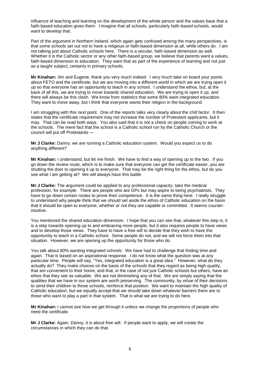influence of teaching and learning on the development of the whole person and the values base that a faith-based education gives them. I imagine that all schools, particularly faith-based schools, would want to develop that.

Part of the argument in Northern Ireland, which again gets confused among the many perspectives, is that some schools set out not to have a religious or faith-based dimension at all, while others do. I am not talking just about Catholic schools here. There is a secular, faith-based dimension as well. Whether it is the Catholic sector or any other faith-based group, we believe that parents want a values, faith-based dimension to education. They want that as part of the experience of learning and not just as a taught subject, certainly in primary schools.

**Mr Kinahan:** Jim and Eugene, thank you very much indeed. I very much take on board your points about FETO and the certificate, but we are moving into a different world in which we are trying open it up so that everyone has an opportunity to teach in any school. I understand the ethos, but, at the back of all this, we are trying to move towards shared education. We are trying to open it up, and there will always be this clash. We know from statistics that some 80% want integrated education. They want to move away, but I think that everyone wants their religion in the background.

I am struggling with this next point. One of the reports talks very clearly about the chill factor. It then states that the certificate requirement may not increase the number of Protestant applicants, but it may. That can be read both ways. You also said that it is not a check on people coming to work at the schools. The mere fact that the school is a Catholic school run by the Catholic Church or the council will put off Protestants —

**Mr J Clarke:** Danny, we are running a Catholic education system. Would you expect us to do anything different?

**Mr Kinahan:** I understand, but let me finish. We have to find a way of opening up to the two. If you go down the review route, which is to make sure that everyone can get the certificate easier, you are shutting the door to opening it up to everyone. That may be the right thing for the ethos, but do you see what I am getting at? We will always have this battle.

**Mr J Clarke:** The argument could be applied to any professional capacity; take the medical profession, for example. There are people who are GPs but may aspire to being psychiatrists. They have to go down certain routes to prove their competence. It is the same thing here. I really struggle to understand why people think that we should set aside the ethos of Catholic education on the basis that it should be open to everyone, whether or not they are capable or committed. It seems counterintuitive.

You mentioned the shared education dimension. I hope that you can see that, whatever this step is, it is a step towards opening up to and embracing more people, but it also requires people to have views and to develop those views. They have to have a free will to decide that they wish to have the opportunity to teach in a Catholic school. Some people do not, and we will not force them into that situation. However, we are opening up the opportunity for those who do.

You talk about 80% wanting integrated schools. We have had to challenge that finding time and again. That is based on an aspirational response. I do not know what the question was at any particular time. People will say, "Yes, integrated education is a great idea." However, what do they actually do? They make choices on the basis of the schools that they regard as being high quality. that are convenient to their home, and that, in the case of not just Catholic schools but others, have an ethos that they see as valuable. We are not diminishing any of that. We are simply saying that the qualities that we have in our system are worth preserving. The community, by virtue of their decisions to send their children to those schools, reinforce that position. We want to maintain the high quality of Catholic education, but we equally accept that we should take down whatever barriers there are to those who want to play a part in that system. That is what we are trying to do here.

**Mr Kinahan:** I cannot see how we get through it unless we change the proportions of people who need the certificate.

**Mr J Clarke:** Again, Danny, it is about free will. If people want to apply, we will create the circumstances in which they can do that.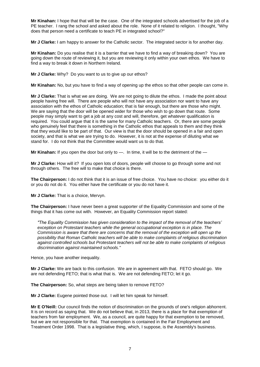**Mr Kinahan:** I hope that that will be the case. One of the integrated schools advertised for the job of a PE teacher. I rang the school and asked about the role. None of it related to religion. I thought, "Why does that person need a certificate to teach PE in integrated school?"

**Mr J Clarke:** I am happy to answer for the Catholic sector. The integrated sector is for another day.

**Mr Kinahan:** Do you realise that it is a barrier that we have to find a way of breaking down? You are going down the route of reviewing it, but you are reviewing it only within your own ethos. We have to find a way to break it down in Northern Ireland.

**Mr J Clarke:** Why? Do you want to us to give up our ethos?

**Mr Kinahan:** No, but you have to find a way of opening up the ethos so that other people can come in.

**Mr J Clarke:** That is what we are doing. We are not going to dilute the ethos. I made the point about people having free will. There are people who will not have any association nor want to have any association with the ethos of Catholic education; that is fair enough, but there are those who might. We are saying that the door will be opened wider for those who wish to go down that route. Some people may simply want to get a job at any cost and will, therefore, get whatever qualification is required. You could argue that it is the same for many Catholic teachers. Or, there are some people who genuinely feel that there is something in the Catholic ethos that appeals to them and they think that they would like to be part of that. Our view is that the door should be opened in a fair and open society, and that is what we are trying to do. However, it is not at the expense of diluting what we stand for. I do not think that the Committee would want us to do that.

**Mr Kinahan:** If you open the door but only to —. In time, it will be to the detriment of the —

**Mr J Clarke:** How will it? If you open lots of doors, people will choose to go through some and not through others. The free will to make that choice is there.

**The Chairperson:** I do not think that it is an issue of free choice. You have no choice: you either do it or you do not do it. You either have the certificate or you do not have it.

**Mr J Clarke:** That is a choice, Mervyn.

**The Chairperson:** I have never been a great supporter of the Equality Commission and some of the things that it has come out with. However, an Equality Commission report stated:

*"The Equality Commission has given consideration to the impact of the removal of the teachers' exception on Protestant teachers while the general occupational exception is in place. The Commission is aware that there are concerns that the removal of the exception will open up the possibility that Roman Catholic teachers will be able to make complaints of religious discrimination against controlled schools but Protestant teachers will not be able to make complaints of religious discrimination against maintained schools."*

Hence, you have another inequality.

**Mr J Clarke:** We are back to this confusion. We are in agreement with that. FETO should go. We are not defending FETO; that is what that is. We are not defending FETO; let it go.

**The Chairperson:** So, what steps are being taken to remove FETO?

**Mr J Clarke:** Eugene pointed those out. I will let him speak for himself.

**Mr E O'Neill:** Our council finds the notion of discrimination on the grounds of one's religion abhorrent. It is on record as saying that. We do not believe that, in 2013, there is a place for that exemption of teachers from fair employment. We, as a council, are quite happy for that exemption to be removed, but we are not responsible for that. That exemption is contained in the Fair Employment and Treatment Order 1998. That is a legislative thing, which, I suppose, is the Assembly's business.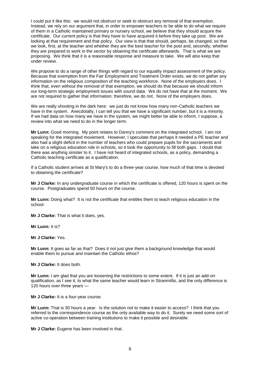I could put it like this: we would not obstruct or seek to obstruct any removal of that exemption. Instead, we rely on our argument that, in order to empower teachers to be able to do what we require of them in a Catholic maintained primary or nursery school, we believe that they should acquire the certificate. Our current policy is that they have to have acquired it before they take up post. We are looking at that requirement and that policy. Our view is that that should, perhaps, be changed, so that we look, first, at the teacher and whether they are the best teacher for the post and, secondly, whether they are prepared to work in the sector by obtaining the certificate afterwards. That is what we are proposing. We think that it is a reasonable response and measure to take. We will also keep that under review.

We propose to do a range of other things with regard to our equality impact assessment of the policy. Because that exemption from the Fair Employment and Treatment Order exists, we do not gather any information on the religious composition of the teaching workforce. None of the employers does. I think that, even without the removal of that exemption, we should do that because we should inform our long-term strategic employment issues with sound data. We do not have that at the moment. We are not required to gather that information; therefore, we do not. None of the employers does.

We are really shooting in the dark here: we just do not know how many non-Catholic teachers we have in the system. Anecdotally, I can tell you that we have a significant number, but it is a minority. If we had data on how many we have in the system, we might better be able to inform, I suppose, a review into what we need to do in the longer term.

**Mr Lunn:** Good morning. My point relates to Danny's comment on the integrated school. I am not speaking for the integrated movement. However, I speculate that perhaps it needed a PE teacher and also had a slight deficit in the number of teachers who could prepare pupils for the sacraments and take on a religious education role in schools, so it took the opportunity to fill both gaps. I doubt that there was anything sinister to it. I have not heard of integrated schools, as a policy, demanding a Catholic teaching certificate as a qualification.

If a Catholic student arrives at St Mary's to do a three-year course, how much of that time is devoted to obtaining the certificate?

**Mr J Clarke:** In any undergraduate course in which the certificate is offered, 120 hours is spent on the course. Postgraduates spend 50 hours on the course.

**Mr Lunn:** Doing what? It is not the certificate that entitles them to teach religious education in the school.

**Mr J Clarke:** That is what it does, yes.

**Mr Lunn:** It is?

**Mr J Clarke:** Yes.

**Mr Lunn:** It goes as far as that? Does it not just give them a background knowledge that would enable them to pursue and maintain the Catholic ethos?

**Mr J Clarke:** It does both.

**Mr Lunn:** I am glad that you are loosening the restrictions to some extent. If it is just an add-on qualification, as I see it, to what the same teacher would learn in Stranmillis, and the only difference is 120 hours over three years —

**Mr J Clarke:** It is a four-year course.

**Mr Lunn:** That is 30 hours a year. Is the solution not to make it easier to access? I think that you referred to the correspondence course as the only available way to do it. Surely we need some sort of active co-operation between training institutions to make it possible and desirable.

**Mr J Clarke:** Eugene has been involved in that.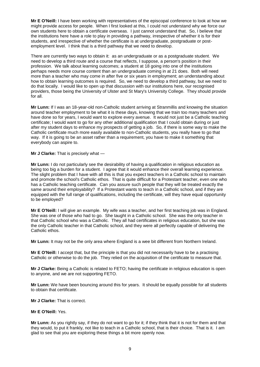**Mr E O'Neill:** I have been working with representatives of the episcopal conference to look at how we might provide access for people. When I first looked at this, I could not understand why we force our own students here to obtain a certificate overseas. I just cannot understand that. So, I believe that the institutions here have a role to play in providing a pathway, irrespective of whether it is for their students, and irrespective of whether the certificate is at undergraduate, postgraduate or postemployment level. I think that is a third pathway that we need to develop.

There are currently two ways to obtain it: as an undergraduate or as a postgraduate student. We need to develop a third route and a course that reflects, I suppose, a person's position in their profession. We talk about learning outcomes; a student at 18 going into one of the institutions perhaps needs more course content than an undergraduate coming in at 21 does. Both will need more than a teacher who may come in after five or six years in employment; an understanding about how to obtain learning outcomes is required. So, we need to develop a third pathway, but we need to do that locally. I would like to open up that discussion with our institutions here, our recognised providers, those being the University of Ulster and St Mary's University College. They should provide for all.

**Mr Lunn:** If I was an 18-year-old non-Catholic student arriving at Stranmillis and knowing the situation around teacher employment to be what it is these days, knowing that we train too many teachers and have done so for years, I would want to explore every avenue. It would not just be a Catholic teaching certificate; I would want to go for any other additional qualification that I could obtain during or just after my student days to enhance my prospects of getting a job. So, if there is some way to make the Catholic certificate much more easily available to non-Catholic students, you really have to go that way. If it is going to be an asset rather than a requirement, you have to make it something that everybody can aspire to.

**Mr J Clarke:** That is precisely what —

**Mr Lunn:** I do not particularly see the desirability of having a qualification in religious education as being too big a burden for a student. I agree that it would enhance their overall learning experience. The slight problem that I have with all this is that you expect teachers in a Catholic school to maintain and promote the school's Catholic ethos. That is quite difficult for a Protestant teacher, even one who has a Catholic teaching certificate. Can you assure such people that they will be treated exactly the same around their employability? If a Protestant wants to teach in a Catholic school, and if they are equipped with the full range of qualifications, including the certificate, will they have equal opportunity to be employed?

**Mr E O'Neill:** I will give an example. My wife was a teacher, and her first teaching job was in England. She was one of those who had to go. She taught in a Catholic school. She was the only teacher in that Catholic school who was a Catholic. They all had certificates in religious education, but she was the only Catholic teacher in that Catholic school, and they were all perfectly capable of delivering the Catholic ethos.

**Mr Lunn:** It may not be the only area where England is a wee bit different from Northern Ireland.

**Mr E O'Neill:** I accept that, but the principle is that you did not necessarily have to be a practising Catholic or otherwise to do the job. They relied on the acquisition of the certificate to measure that.

**Mr J Clarke:** Being a Catholic is related to FETO; having the certificate in religious education is open to anyone, and we are not supporting FETO.

**Mr Lunn:** We have been bouncing around this for years. It should be equally possible for all students to obtain that certificate.

**Mr J Clarke:** That is correct.

#### **Mr E O'Neill:** Yes.

**Mr Lunn:** As you rightly say, if they do not want to go for it; if they think that it is not for them and that they would, to put it frankly, not like to teach in a Catholic school, that is their choice. That is it. I am glad to see that you are exploring these things a bit more openly now.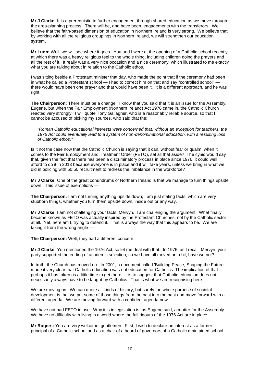**Mr J Clarke:** It is a prerequisite to further engagement through shared education as we move through the area-planning process. There will be, and have been, engagements with the transferors. We believe that the faith-based dimension of education in Northern Ireland is very strong. We believe that by working with all the religious groupings in Northern Ireland, we will strengthen our education system.

**Mr Lunn:** Well, we will see where it goes. You and I were at the opening of a Catholic school recently, at which there was a heavy religious feel to the whole thing, including children doing the prayers and all the rest of it. It really was a very nice occasion and a nice ceremony, which illustrated to me exactly what you are talking about in relation to the Catholic ethos.

I was sitting beside a Protestant minister that day, who made the point that if the ceremony had been in what he called a Protestant school — I had to correct him on that and say "controlled school" there would have been one prayer and that would have been it. It is a different approach, and he was right.

**The Chairperson:** There must be a change. I know that you said that it is an issue for the Assembly, Eugene, but when the Fair Employment (Northern Ireland) Act 1976 came in, the Catholic Church reacted very strongly. I will quote Tony Gallagher, who is a reasonably reliable source, so that I cannot be accused of picking my sources, who said that the:

*"Roman Catholic educational interests were concerned that, without an exception for teachers, the 1976 Act could eventually lead to a system of non-denominational education, with a resulting loss of Catholic ethos."*

Is it not the case now that the Catholic Church is saying that it can, without fear or qualm, when it comes to the Fair Employment and Treatment Order (FETO), set all that aside? The cynic would say that, given the fact that there has been a discriminatory process in place since 1976, it could well afford to do it in 2013 because everyone is in place and it will take years, unless we bring in what we did in policing with 50:50 recruitment to redress the imbalance in the workforce?

**Mr J Clarke:** One of the great conundrums of Northern Ireland is that we manage to turn things upside down. This issue of exemptions —

**The Chairperson:** I am not turning anything upside down; I am just stating facts, which are very stubborn things, whether you turn them upside down, inside out or any way.

**Mr J Clarke:** I am not challenging your facts, Mervyn. I am challenging the argument. What finally became known as FETO was actually inspired by the Protestant Churches, not by the Catholic sector at all. Yet, here am I, trying to defend it. That is always the way that this appears to be. We are taking it from the wrong angle —

**The Chairperson:** Well, they had a different concern.

**Mr J Clarke:** You mentioned the 1976 Act, so let me deal with that. In 1976, as I recall, Mervyn, your party supported the ending of academic selection, so we have all moved on a bit, have we not?

In truth, the Church has moved on. In 2001, a document called 'Building Peace, Shaping the Future' made it very clear that Catholic education was not education for Catholics. The implication of that perhaps it has taken us a little time to get there — is to suggest that Catholic education does not necessarily always have to be taught by Catholics. That is what we are recognising here.

We are moving on. We can quote all kinds of history, but surely the whole purpose of societal development is that we put some of those things from the past into the past and move forward with a different agenda. We are moving forward with a confident agenda now.

We have not had FETO in use. Why it is in legislation is, as Eugene said, a matter for the Assembly. We have no difficulty with living in a world where the full rigours of the 1976 Act are in place.

**Mr Rogers:** You are very welcome, gentlemen. First, I wish to declare an interest as a former principal of a Catholic school and as a chair of a board of governors of a Catholic maintained school.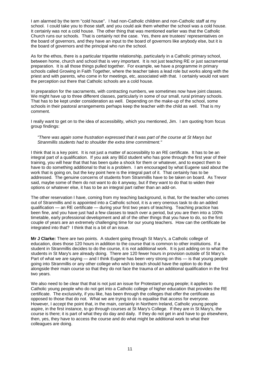I am alarmed by the term "cold house". I had non-Catholic children and non-Catholic staff at my school. I could take you to those staff, and you could ask them whether the school was a cold house. It certainly was not a cold house. The other thing that was mentioned earlier was that the Catholic Church runs our schools. That is certainly not the case. Yes, there are trustees' representatives on the board of governors, and they have an input to the board of governors like anybody else, but it is the board of governors and the principal who run the school.

As for the ethos, there is a particular tripartite relationship, particularly in a Catholic primary school, between home, church and school that is very important. It is not just teaching RE or just sacramental preparation. It is all those things pulled together. For example, we have a programme in primary schools called Growing in Faith Together, where the teacher takes a lead role but works along with the priest and with parents, who come in for meetings, etc, associated with that. I certainly would not want the perception out there that Catholic schools are a cold house.

In preparation for the sacraments, with contracting numbers, we sometimes now have joint classes. We might have up to three different classes, particularly in some of our small, rural primary schools. That has to be kept under consideration as well. Depending on the make-up of the school, some schools in their pastoral arrangements perhaps keep the teacher with the child as well. That is my comment.

I really want to get on to the idea of accessibility, which you mentioned, Jim. I am quoting from focus group findings:

#### *"There was again some frustration expressed that it was part of the course at St Marys but Stranmillis students had to shoulder the extra time commitment."*

I think that is a key point. It is not just a matter of accessibility to an RE certificate. It has to be an integral part of a qualification. If you ask any BEd student who has gone through the first year of their training, you will hear that that has been quite a shock for them or whatever, and to expect them to have to do something additional to that is a problem. I am encouraged by what Eugene said about the work that is going on, but the key point here is the integral part of it. That certainly has to be addressed. The genuine concerns of students from Stranmillis have to be taken on board. As Trevor said, maybe some of them do not want to do it anyway, but if they want to do that to widen their options or whatever else, it has to be an integral part rather than an add-on.

The other reservation I have, coming from my teaching background, is that, for the teacher who comes out of Stranmillis and is appointed into a Catholic school, it is a very onerous task to do an added qualification — an RE certificate — during your first two years of teaching. Teaching practice has been fine, and you have just had a few classes to teach over a period, but you are then into a 100% timetable, early professional development and all of the other things that you have to do, so the first couple of years are an extremely challenging time for our young teachers. How can the certificate be integrated into that? I think that is a bit of an issue.

**Mr J Clarke:** There are two points. A student going through St Mary's, a Catholic college of education, does those 120 hours in addition to the course that is common to other institutions. If a student in Stranmillis decides to do the course, it is not additional work. It is just adding on to what the students in St Mary's are already doing. There are 120 fewer hours in provision outside of St Mary's. Part of what we are saying — and I think Eugene has been very strong on this — is that young people going into Stranmillis or any other college who wish to teach should have the option to do that alongside their main course so that they do not face the trauma of an additional qualification in the first two years.

We also need to be clear that that is not just an issue for Protestant young people; it applies to Catholic young people who do not get into a Catholic college of higher education that provides the RE certificate. The exclusivity, if you like, has been through the colleges that offer the certificate as opposed to those that do not. What we are trying to do is equalise that access for everyone. However, I accept the point that, in the main, certainly in Northern Ireland, Catholic young people aspire, in the first instance, to go through courses at St Mary's College. If they are in St Mary's, the course is there; it is part of what they do day and daily. If they do not get in and have to go elsewhere, then, yes, they have to access the course and do what might be additional work to what their colleagues are doing.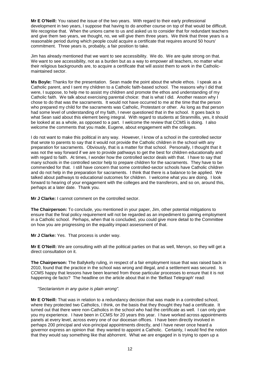**Mr E O'Neill:** You raised the issue of the two years. With regard to their early professional development in two years, I suppose that having to do another course on top of that would be difficult. We recognise that. When the unions came to us and asked us to consider that for redundant teachers and give them two years, we thought, no, we will give them three years. We think that three years is a reasonable period during which people could acquire a certificate that requires around 50 hours' commitment. Three years is, probably, a fair position to take.

Jim has already mentioned that we want to see accessibility. We do. We are quite strong on that. We want to see accessibility, not as a burden but as a way to empower all teachers, no matter what their religious backgrounds are, to acquire a certificate that will assist them to work in the Catholicmaintained sector.

**Ms Boyle:** Thanks for the presentation. Sean made the point about the whole ethos. I speak as a Catholic parent, and I sent my children to a Catholic faith-based school. The reasons why I did that were, I suppose, to help me to assist my children and promote the ethos and understanding of my Catholic faith. We talk about exercising parental choice: that is what I did. Another reason why I chose to do that was the sacraments. It would not have occurred to me at the time that the person who prepared my child for the sacraments was Catholic, Protestant or other. As long as that person had some level of understanding of my faith, I never questioned that in the school. It goes back to what Sean said about this element being integral. With regard to students at Stranmillis, yes, it should be looked at as a whole, as opposed to a part. I welcome the review that CCMS is doing. I also welcome the comments that you made, Eugene, about engagement with the colleges.

I do not want to make this political in any way. However, I know of a school in the controlled sector that wrote to parents to say that it would not provide the Catholic children in the school with any preparation for sacraments. Obviously, that is a matter for that school. Personally, I thought that it was not the way forward if we are to provide pathways to get the best for children educationally and with regard to faith. At times, I wonder how the controlled sector deals with that. I have to say that many schools in the controlled sector help to prepare children for the sacraments. They have to be commended for that. I still have concern that some controlled-sector schools have Catholic children and do not help in the preparation for sacraments. I think that there is a balance to be applied. We talked about pathways to educational outcomes for children. I welcome what you are doing. I look forward to hearing of your engagement with the colleges and the transferors, and so on, around this, perhaps at a later date. Thank you.

**Mr J Clarke:** I cannot comment on the controlled sector.

**The Chairperson:** To conclude, you mentioned in your paper, Jim, other potential mitigations to ensure that the final policy requirement will not be regarded as an impediment to gaining employment in a Catholic school. Perhaps, when that is concluded, you could give more detail to the Committee on how you are progressing on the equality impact assessment of that.

**Mr J Clarke:** Yes. That process is under way.

**Mr E O'Neill:** We are consulting with all the political parties on that as well, Mervyn, so they will get a direct consultation on it.

**The Chairperson:** The Ballykelly ruling, in respect of a fair employment issue that was raised back in 2010, found that the practice in the school was wrong and illegal, and a settlement was secured. Is CCMS happy that lessons have been learned from those particular processes to ensure that it is not happening de facto? The headline on the article about that in the 'Belfast Telegraph' read:

#### *"Sectarianism in any guise is plain wrong".*

**Mr E O'Neill:** That was in relation to a redundancy decision that was made in a controlled school, where they protected two Catholics, I think, on the basis that they thought they had a certificate. It turned out that there were non-Catholics in the school who had the certificate as well. I can only give you my experience. I have been in CCMS for 20 years this year. I have worked across appointments panels at every level, across every one of our diocesan offices. I have been directly involved in perhaps 200 principal and vice-principal appointments directly, and I have never once heard a governor express an opinion that they wanted to appoint a Catholic. Certainly, I would find the notion that they would say something like that abhorrent. What we are engaged in is trying to open up a